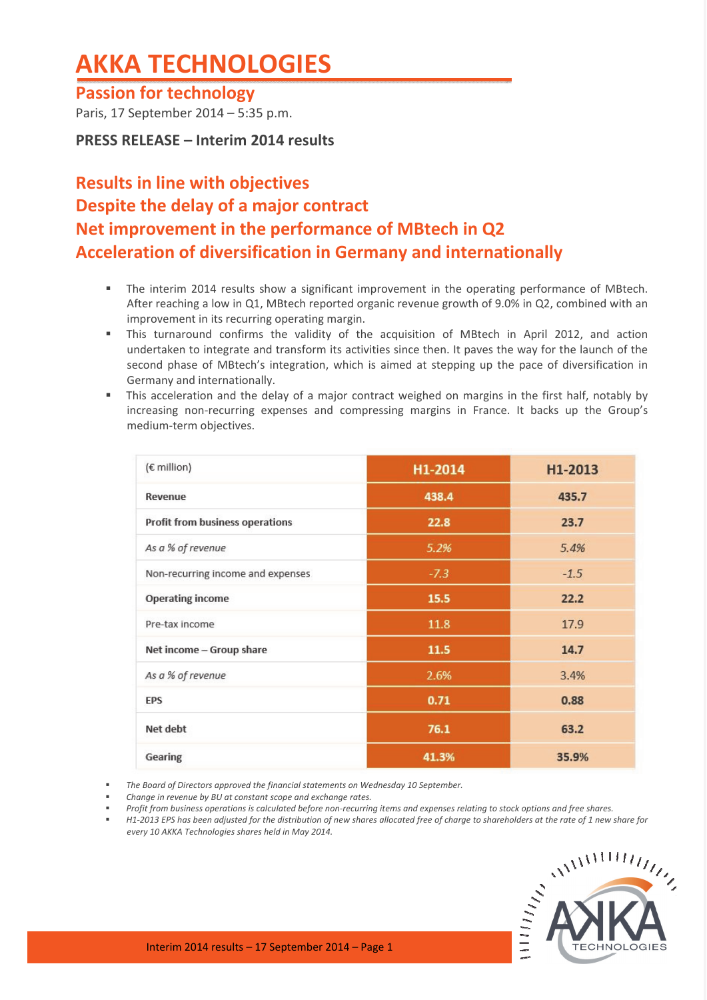# **AKKA TECHNOLOGIES**

## **Passion for technology**

Paris, 17 September 2014 – 5:35 p.m.

**PRESS RELEASE – Interim 2014 results**

# **Results in line with objectives Despite the delay of a major contract Net improvement in the performance of MBtech in Q2 Acceleration of diversification in Germany and internationally**

- **The interim 2014 results show a significant improvement in the operating performance of MBtech.** After reaching a low in Q1, MBtech reported organic revenue growth of 9.0% in Q2, combined with an improvement in its recurring operating margin.
- This turnaround confirms the validity of the acquisition of MBtech in April 2012, and action undertaken to integrate and transform its activities since then. It paves the way for the launch of the second phase of MBtech's integration, which is aimed at stepping up the pace of diversification in Germany and internationally.
- This acceleration and the delay of a major contract weighed on margins in the first half, notably by increasing non‐recurring expenses and compressing margins in France. It backs up the Group's medium‐term objectives.

| (€ million)                       | H1-2014 | H1-2013 |
|-----------------------------------|---------|---------|
| Revenue                           | 438.4   | 435.7   |
| Profit from business operations   | 22.8    | 23.7    |
| As a % of revenue                 | 5.2%    | 5.4%    |
| Non-recurring income and expenses | $-7.3$  | $-1.5$  |
| <b>Operating income</b>           | 15.5    | 22.2    |
| Pre-tax income                    | 11.8    | 17.9    |
| Net income - Group share          | 11.5    | 14.7    |
| As a % of revenue                 | 2.6%    | 3.4%    |
| <b>EPS</b>                        | 0.71    | 0.88    |
| Net debt                          | 76.1    | 63.2    |
| Gearing                           | 41.3%   | 35.9%   |

*The Board of Directors approved the financial statements on Wednesday 10 September.*

- *Change in revenue by BU at constant scope and exchange rates.*
- Profit from business operations is calculated before non-recurring items and expenses relating to stock options and free shares.
- H1-2013 EPS has been adjusted for the distribution of new shares allocated free of charge to shareholders at the rate of 1 new share for *every 10 AKKA Technologies shares held in May 2014.*

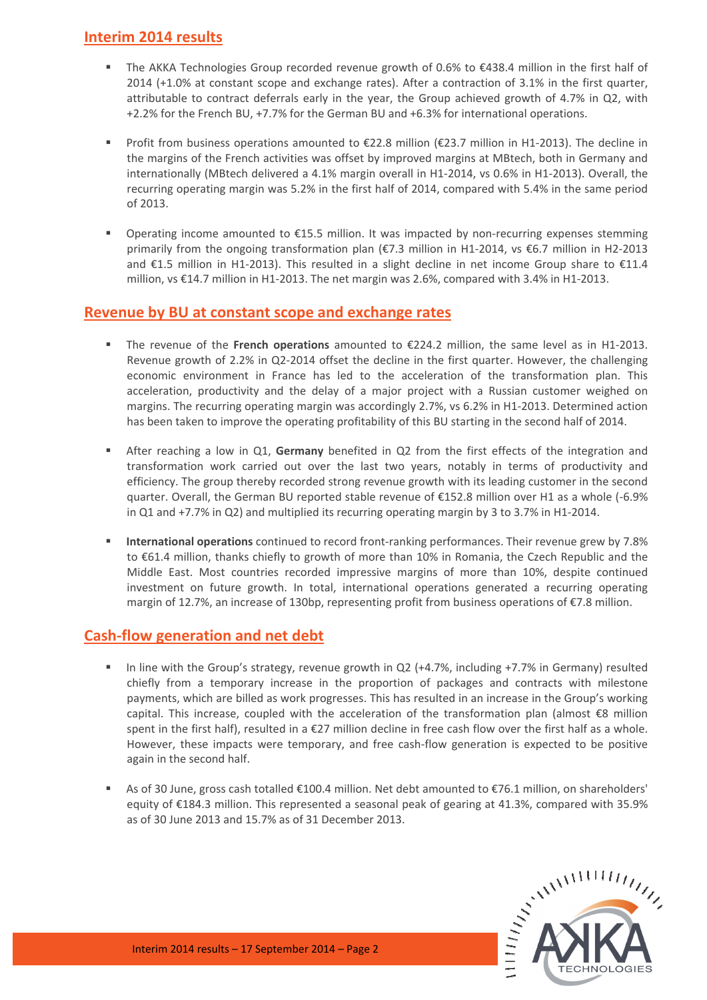#### **Interim 2014 results**

- The AKKA Technologies Group recorded revenue growth of 0.6% to €438.4 million in the first half of 2014 (+1.0% at constant scope and exchange rates). After a contraction of 3.1% in the first quarter, attributable to contract deferrals early in the year, the Group achieved growth of 4.7% in Q2, with +2.2% for the French BU, +7.7% for the German BU and +6.3% for international operations.
- Profit from business operations amounted to €22.8 million (€23.7 million in H1-2013). The decline in the margins of the French activities was offset by improved margins at MBtech, both in Germany and internationally (MBtech delivered a 4.1% margin overall in H1‐2014, vs 0.6% in H1‐2013). Overall, the recurring operating margin was 5.2% in the first half of 2014, compared with 5.4% in the same period of 2013.
- Operating income amounted to  $E15.5$  million. It was impacted by non-recurring expenses stemming primarily from the ongoing transformation plan (€7.3 million in H1-2014, vs €6.7 million in H2-2013 and €1.5 million in H1-2013). This resulted in a slight decline in net income Group share to €11.4 million, vs €14.7 million in H1‐2013. The net margin was 2.6%, compared with 3.4% in H1‐2013.

#### **Revenue by BU at constant scope and exchange rates**

- The revenue of the **French operations** amounted to €224.2 million, the same level as in H1‐2013. Revenue growth of 2.2% in Q2‐2014 offset the decline in the first quarter. However, the challenging economic environment in France has led to the acceleration of the transformation plan. This acceleration, productivity and the delay of a major project with a Russian customer weighed on margins. The recurring operating margin was accordingly 2.7%, vs 6.2% in H1‐2013. Determined action has been taken to improve the operating profitability of this BU starting in the second half of 2014.
- After reaching a low in Q1, **Germany** benefited in Q2 from the first effects of the integration and transformation work carried out over the last two years, notably in terms of productivity and efficiency. The group thereby recorded strong revenue growth with its leading customer in the second quarter. Overall, the German BU reported stable revenue of €152.8 million over H1 as a whole (‐6.9% in Q1 and +7.7% in Q2) and multiplied its recurring operating margin by 3 to 3.7% in H1‐2014.
- **International operations** continued to record front-ranking performances. Their revenue grew by 7.8% to €61.4 million, thanks chiefly to growth of more than 10% in Romania, the Czech Republic and the Middle East. Most countries recorded impressive margins of more than 10%, despite continued investment on future growth. In total, international operations generated a recurring operating margin of 12.7%, an increase of 130bp, representing profit from business operations of €7.8 million.

#### **Cash‐flow generation and net debt**

- In line with the Group's strategy, revenue growth in Q2 (+4.7%, including +7.7% in Germany) resulted chiefly from a temporary increase in the proportion of packages and contracts with milestone payments, which are billed as work progresses. This has resulted in an increase in the Group's working capital. This increase, coupled with the acceleration of the transformation plan (almost €8 million spent in the first half), resulted in a €27 million decline in free cash flow over the first half as a whole. However, these impacts were temporary, and free cash-flow generation is expected to be positive again in the second half.
- As of 30 June, gross cash totalled €100.4 million. Net debt amounted to €76.1 million, on shareholders' equity of €184.3 million. This represented a seasonal peak of gearing at 41.3%, compared with 35.9% as of 30 June 2013 and 15.7% as of 31 December 2013.

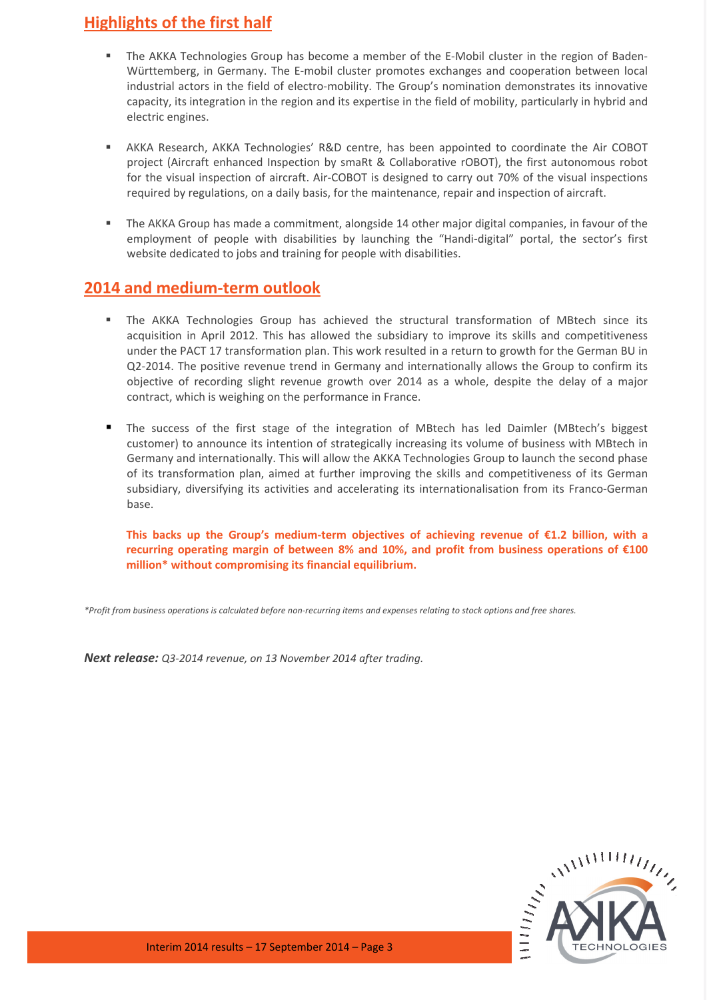### **Highlights of the first half**

- The AKKA Technologies Group has become a member of the E-Mobil cluster in the region of Baden-Württemberg, in Germany. The E‐mobil cluster promotes exchanges and cooperation between local industrial actors in the field of electro-mobility. The Group's nomination demonstrates its innovative capacity, its integration in the region and its expertise in the field of mobility, particularly in hybrid and electric engines.
- AKKA Research, AKKA Technologies' R&D centre, has been appointed to coordinate the Air COBOT project (Aircraft enhanced Inspection by smaRt & Collaborative rOBOT), the first autonomous robot for the visual inspection of aircraft. Air‐COBOT is designed to carry out 70% of the visual inspections required by regulations, on a daily basis, for the maintenance, repair and inspection of aircraft.
- The AKKA Group has made a commitment, alongside 14 other major digital companies, in favour of the employment of people with disabilities by launching the "Handi-digital" portal, the sector's first website dedicated to jobs and training for people with disabilities.

#### **2014 and medium‐term outlook**

- The AKKA Technologies Group has achieved the structural transformation of MBtech since its acquisition in April 2012. This has allowed the subsidiary to improve its skills and competitiveness under the PACT 17 transformation plan. This work resulted in a return to growth for the German BU in Q2‐2014. The positive revenue trend in Germany and internationally allows the Group to confirm its objective of recording slight revenue growth over 2014 as a whole, despite the delay of a major contract, which is weighing on the performance in France.
- The success of the first stage of the integration of MBtech has led Daimler (MBtech's biggest customer) to announce its intention of strategically increasing its volume of business with MBtech in Germany and internationally. This will allow the AKKA Technologies Group to launch the second phase of its transformation plan, aimed at further improving the skills and competitiveness of its German subsidiary, diversifying its activities and accelerating its internationalisation from its Franco‐German base.

**This backs up the Group's medium‐term objectives of achieving revenue of €1.2 billion, with a recurring operating margin of between 8% and 10%, and profit from business operations of €100 million\* without compromising its financial equilibrium.**

\*Profit from business operations is calculated before non-recurring items and expenses relating to stock options and free shares.

*Next release: Q3‐2014 revenue, on 13 November 2014 after trading.*

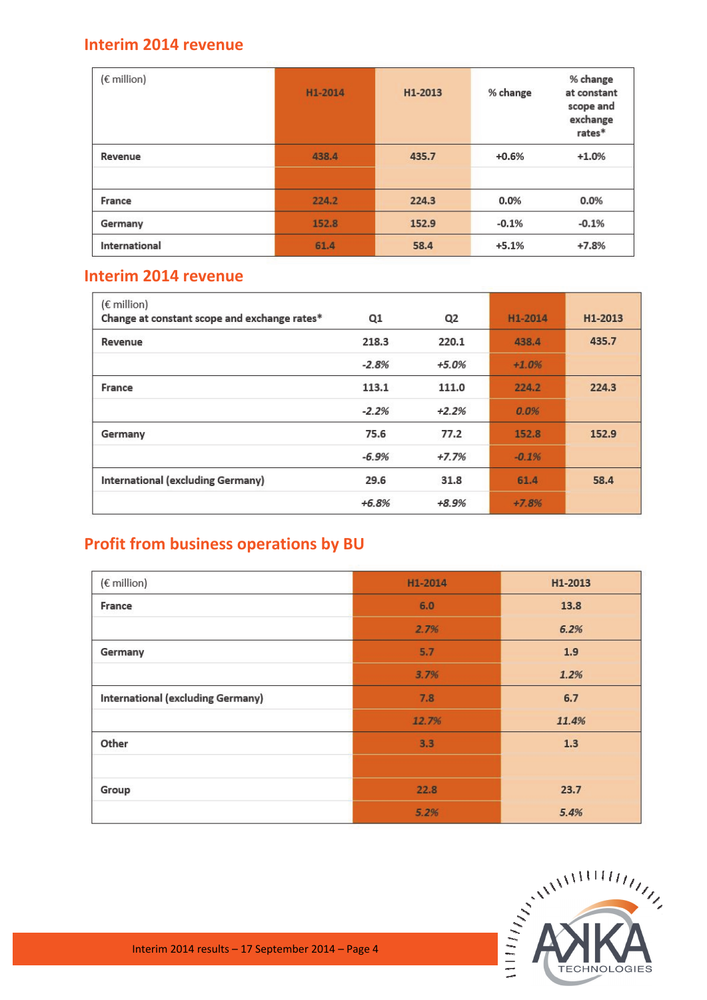### **Interim 2014 revenue**

| $(\epsilon$ million) | H1-2014 | H1-2013 | % change | % change<br>at constant<br>scope and<br>exchange<br>rates* |
|----------------------|---------|---------|----------|------------------------------------------------------------|
| Revenue              | 438.4   | 435.7   | $+0.6%$  | $+1.0%$                                                    |
|                      |         |         |          |                                                            |
| France               | 224.2   | 224.3   | 0.0%     | 0.0%                                                       |
| Germany              | 152.8   | 152.9   | $-0.1%$  | $-0.1%$                                                    |
| International        | 61.4    | 58.4    | $+5.1%$  | $+7.8%$                                                    |

### **Interim 2014 revenue**

| $(\epsilon$ million)<br>Change at constant scope and exchange rates* | Q1      | Q <sub>2</sub> | H1-2014 | H1-2013 |
|----------------------------------------------------------------------|---------|----------------|---------|---------|
| Revenue                                                              | 218.3   | 220.1          | 438.4   | 435.7   |
|                                                                      | $-2.8%$ | $+5.0%$        | $+1.0%$ |         |
| France                                                               | 113.1   | 111.0          | 224.2   | 224.3   |
|                                                                      | $-2.2%$ | $+2.2%$        | 0.0%    |         |
| Germany                                                              | 75.6    | 77.2           | 152.8   | 152.9   |
|                                                                      | $-6.9%$ | $+7.7%$        | $-0.1%$ |         |
| International (excluding Germany)                                    | 29.6    | 31.8           | 61.4    | 58.4    |
|                                                                      | $+6.8%$ | $+8.9%$        | $+7.8%$ |         |

# **Profit from business operations by BU**

| (€ million)                       | H1-2014 | H1-2013 |
|-----------------------------------|---------|---------|
| France                            | 6.0     | 13.8    |
|                                   | 2.7%    | 6.2%    |
| Germany                           | 5.7     | 1.9     |
|                                   | 3.7%    | 1.2%    |
| International (excluding Germany) | 7.8     | 6.7     |
|                                   | 12.7%   | 11.4%   |
| Other                             | 3.3     | 1.3     |
|                                   |         |         |
| Group                             | 22.8    | 23.7    |
|                                   | 5.2%    | 5.4%    |